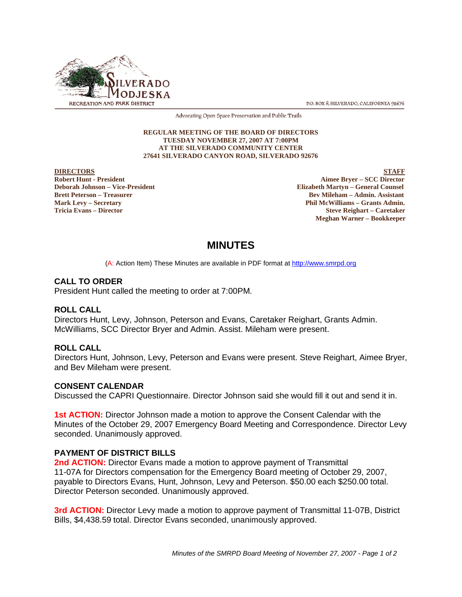

P.O. BOX 8. SILVERADO, CALIFORNIA 92676

Advocating Open Space Preservation and Public Trails

#### **REGULAR MEETING OF THE BOARD OF DIRECTORS TUESDAY NOVEMBER 27, 2007 AT 7:00PM AT THE SILVERADO COMMUNITY CENTER 27641 SILVERADO CANYON ROAD, SILVERADO 92676**

# **DIRECTORS** STAFF<br>
Robert Hunt - President State of the State of the State of the State of the State of the State of the State of the State of the State of the State of the State of the State of the State of the State of t

**Robert Hunt - President Aimee Bryer – SCC Director**<br> **Robert Hunt - President Aimee Bryer – SCC Director**<br> **Aimee Bryer – SCC Director**<br> **Aimee Bryer – SCC Director Elizabeth Martyn – General Counsel Brett Peterson – Treasurer Bev Mileham – Admin. Assistant Mark Levy – Secretary Phil McWilliams – Grants Admin. Tricia Evans – Director Steve Reighart – Caretaker Meghan Warner – Bookkeeper**

## **MINUTES**

(A: Action Item) These Minutes are available in PDF format at http://www.smrpd.org

#### **CALL TO ORDER**

President Hunt called the meeting to order at 7:00PM.

#### **ROLL CALL**

Directors Hunt, Levy, Johnson, Peterson and Evans, Caretaker Reighart, Grants Admin. McWilliams, SCC Director Bryer and Admin. Assist. Mileham were present.

#### **ROLL CALL**

Directors Hunt, Johnson, Levy, Peterson and Evans were present. Steve Reighart, Aimee Bryer, and Bev Mileham were present.

#### **CONSENT CALENDAR**

Discussed the CAPRI Questionnaire. Director Johnson said she would fill it out and send it in.

**1st ACTION:** Director Johnson made a motion to approve the Consent Calendar with the Minutes of the October 29, 2007 Emergency Board Meeting and Correspondence. Director Levy seconded. Unanimously approved.

#### **PAYMENT OF DISTRICT BILLS**

**2nd ACTION:** Director Evans made a motion to approve payment of Transmittal 11-07A for Directors compensation for the Emergency Board meeting of October 29, 2007, payable to Directors Evans, Hunt, Johnson, Levy and Peterson. \$50.00 each \$250.00 total. Director Peterson seconded. Unanimously approved.

**3rd ACTION:** Director Levy made a motion to approve payment of Transmittal 11-07B, District Bills, \$4,438.59 total. Director Evans seconded, unanimously approved.